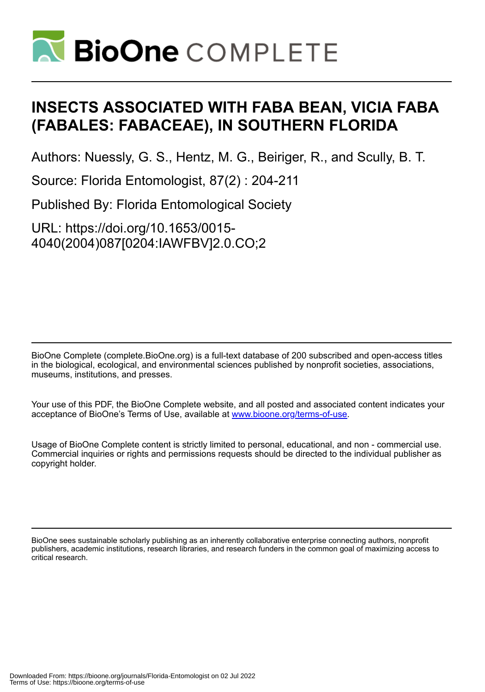

# **INSECTS ASSOCIATED WITH FABA BEAN, VICIA FABA (FABALES: FABACEAE), IN SOUTHERN FLORIDA**

Authors: Nuessly, G. S., Hentz, M. G., Beiriger, R., and Scully, B. T.

Source: Florida Entomologist, 87(2) : 204-211

Published By: Florida Entomological Society

URL: https://doi.org/10.1653/0015- 4040(2004)087[0204:IAWFBV]2.0.CO;2

BioOne Complete (complete.BioOne.org) is a full-text database of 200 subscribed and open-access titles in the biological, ecological, and environmental sciences published by nonprofit societies, associations, museums, institutions, and presses.

Your use of this PDF, the BioOne Complete website, and all posted and associated content indicates your acceptance of BioOne's Terms of Use, available at www.bioone.org/terms-of-use.

Usage of BioOne Complete content is strictly limited to personal, educational, and non - commercial use. Commercial inquiries or rights and permissions requests should be directed to the individual publisher as copyright holder.

BioOne sees sustainable scholarly publishing as an inherently collaborative enterprise connecting authors, nonprofit publishers, academic institutions, research libraries, and research funders in the common goal of maximizing access to critical research.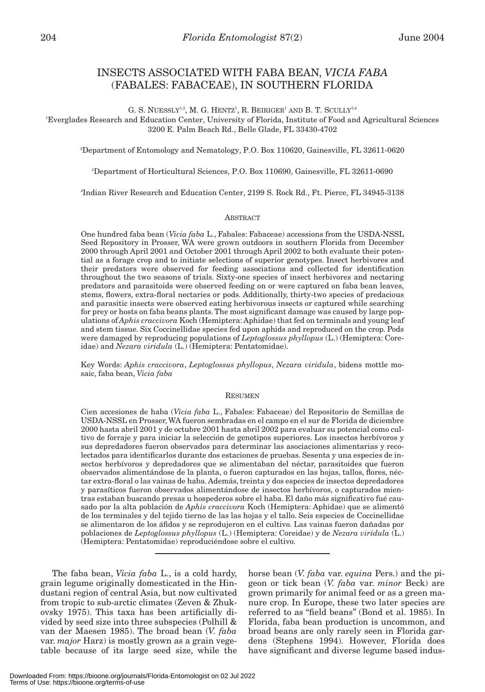# INSECTS ASSOCIATED WITH FABA BEAN, *VICIA FABA* (FABALES: FABACEAE), IN SOUTHERN FLORIDA

G. S. NUESSLY $^{1,2}$ , M. G. HENTZ<sup>1</sup>, R. BEIRIGER<sup>1</sup> AND B. T. SCULLY $^{3,4}$ 

1 Everglades Research and Education Center, University of Florida, Institute of Food and Agricultural Sciences 3200 E. Palm Beach Rd., Belle Glade, FL 33430-4702

2 Department of Entomology and Nematology, P.O. Box 110620, Gainesville, FL 32611-0620

3 Department of Horticultural Sciences, P.O. Box 110690, Gainesville, FL 32611-0690

4 Indian River Research and Education Center, 2199 S. Rock Rd., Ft. Pierce, FL 34945-3138

# ABSTRACT

One hundred faba bean (*Vicia faba* L., Fabales: Fabaceae) accessions from the USDA-NSSL Seed Repository in Prosser, WA were grown outdoors in southern Florida from December 2000 through April 2001 and October 2001 through April 2002 to both evaluate their potential as a forage crop and to initiate selections of superior genotypes. Insect herbivores and their predators were observed for feeding associations and collected for identification throughout the two seasons of trials. Sixty-one species of insect herbivores and nectaring predators and parasitoids were observed feeding on or were captured on faba bean leaves, stems, flowers, extra-floral nectaries or pods. Additionally, thirty-two species of predacious and parasitic insects were observed eating herbivorous insects or captured while searching for prey or hosts on faba beans plants. The most significant damage was caused by large populations of *Aphis craccivora* Koch (Hemiptera: Aphidae) that fed on terminals and young leaf and stem tissue. Six Coccinellidae species fed upon aphids and reproduced on the crop. Pods were damaged by reproducing populations of *Leptoglossus phyllopus* (L.) (Hemiptera: Coreidae) and *Nezara viridula* (L.) (Hemiptera: Pentatomidae).

Key Words: *Aphis craccivora*, *Leptoglossus phyllopus*, *Nezara viridula*, bidens mottle mosaic, faba bean, *Vicia faba*

#### **RESUMEN**

Cien accesiones de haba (*Vicia faba* L., Fabales: Fabaceae) del Repositorio de Semillas de USDA-NSSL en Prosser, WA fueron sembradas en el campo en el sur de Florida de diciembre 2000 hasta abril 2001 y de octubre 2001 hasta abril 2002 para evaluar su potencial como cultivo de forraje y para iniciar la selección de genotipos superiores. Los insectos herbívoros y sus depredadores fueron observados para determinar las asociaciones alimentarias y recolectados para identificarlos durante dos estaciones de pruebas. Sesenta y una especies de insectos herbívoros y depredadores que se alimentaban del néctar, parasitoides que fueron observados alimentándose de la planta, o fueron capturados en las hojas, tallos, flores, néctar extra-floral o las vainas de haba. Además, treinta y dos especies de insectos depredadores y parasíticos fueron observados alimentándose de insectos herbívoros, o capturados mientras estaban buscando presas u hospederos sobre el haba. El daño más significativo fué causado por la alta población de *Aphis craccivora* Koch (Hemiptera: Aphidae) que se alimentó de los terminales y del tejido tierno de las las hojas y el tallo. Seis especies de Coccinellidae se alimentaron de los áfidos y se reprodujeron en el cultivo. Las vainas fueron dañadas por poblaciones de *Leptoglossus phyllopus* (L.) (Hemiptera: Coreidae) y de *Nezara viridula* (L.) (Hemiptera: Pentatomidae) reproduciéndose sobre el cultivo.

The faba bean, *Vicia faba* L., is a cold hardy, grain legume originally domesticated in the Hindustani region of central Asia, but now cultivated from tropic to sub-arctic climates (Zeven & Zhukovsky 1975). This taxa has been artificially divided by seed size into three subspecies (Polhill & van der Maesen 1985). The broad bean (*V. faba* var. *major* Harz) is mostly grown as a grain vegetable because of its large seed size, while the

horse bean (*V. faba* var. *equina* Pers.) and the pigeon or tick bean (*V. faba* var. *minor* Beck) are grown primarily for animal feed or as a green manure crop. In Europe, these two later species are referred to as "field beans" (Bond et al. 1985). In Florida, faba bean production is uncommon, and broad beans are only rarely seen in Florida gardens (Stephens 1994). However, Florida does have significant and diverse legume based indus-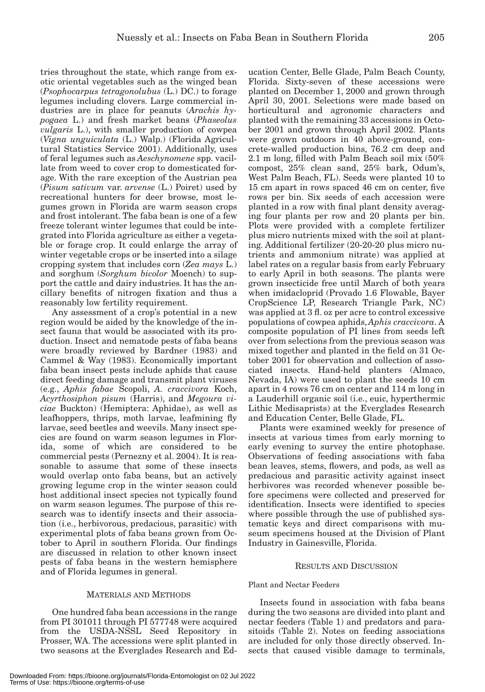tries throughout the state, which range from exotic oriental vegetables such as the winged bean (*Psophocarpus tetragonolubus* (L.) DC.) to forage legumes including clovers. Large commercial industries are in place for peanuts (*Arachis hypogaea* L.) and fresh market beans (*Phaseolus vulgaris* L.), with smaller production of cowpea (*Vigna unguiculata* (L.) Walp.) (Florida Agricultural Statistics Service 2001). Additionally, uses of feral legumes such as *Aeschynomene* spp. vacillate from weed to cover crop to domesticated forage. With the rare exception of the Austrian pea (*Pisum sativum* var. *arvense* (L.) Poiret) used by recreational hunters for deer browse, most legumes grown in Florida are warm season crops and frost intolerant. The faba bean is one of a few freeze tolerant winter legumes that could be integrated into Florida agriculture as either a vegetable or forage crop. It could enlarge the array of winter vegetable crops or be inserted into a silage cropping system that includes corn (*Zea mays* L.) and sorghum (*Sorghum bicolor* Moench) to support the cattle and dairy industries. It has the ancillary benefits of nitrogen fixation and thus a reasonably low fertility requirement.

Any assessment of a crop's potential in a new region would be aided by the knowledge of the insect fauna that would be associated with its production. Insect and nematode pests of faba beans were broadly reviewed by Bardner (1983) and Cammel & Way (1983). Economically important faba bean insect pests include aphids that cause direct feeding damage and transmit plant viruses (e.g., *Aphis fabae* Scopoli, *A. craccivora* Koch, *Acyrthosiphon pisum* (Harris), and *Megoura viciae* Buckton) (Hemiptera: Aphidae), as well as leafhoppers, thrips, moth larvae, leafmining fly larvae, seed beetles and weevils. Many insect species are found on warm season legumes in Florida, some of which are considered to be commercial pests (Pernezny et al. 2004). It is reasonable to assume that some of these insects would overlap onto faba beans, but an actively growing legume crop in the winter season could host additional insect species not typically found on warm season legumes. The purpose of this research was to identify insects and their association (i.e., herbivorous, predacious, parasitic) with experimental plots of faba beans grown from October to April in southern Florida. Our findings are discussed in relation to other known insect pests of faba beans in the western hemisphere and of Florida legumes in general.

ucation Center, Belle Glade, Palm Beach County, Florida. Sixty-seven of these accessions were planted on December 1, 2000 and grown through April 30, 2001. Selections were made based on horticultural and agronomic characters and planted with the remaining 33 accessions in October 2001 and grown through April 2002. Plants were grown outdoors in 40 above-ground, concrete-walled production bins, 76.2 cm deep and 2.1 m long, filled with Palm Beach soil mix (50% compost, 25% clean sand, 25% bark, Odum's, West Palm Beach, FL). Seeds were planted 10 to 15 cm apart in rows spaced 46 cm on center, five rows per bin. Six seeds of each accession were planted in a row with final plant density averaging four plants per row and 20 plants per bin. Plots were provided with a complete fertilizer plus micro nutrients mixed with the soil at planting. Additional fertilizer (20-20-20 plus micro nutrients and ammonium nitrate) was applied at label rates on a regular basis from early February to early April in both seasons. The plants were grown insecticide free until March of both years when imidacloprid (Provado 1.6 Flowable, Bayer CropScience LP, Research Triangle Park, NC) was applied at 3 fl. oz per acre to control excessive populations of cowpea aphids, *Aphis craccivora*. A composite population of PI lines from seeds left over from selections from the previous season was mixed together and planted in the field on 31 October 2001 for observation and collection of associated insects. Hand-held planters (Almaco, Nevada, IA) were used to plant the seeds 10 cm apart in 4 rows 76 cm on center and 114 m long in a Lauderhill organic soil (i.e., euic, hyperthermic Lithic Medisaprists) at the Everglades Research and Education Center, Belle Glade, FL.

Plants were examined weekly for presence of insects at various times from early morning to early evening to survey the entire photophase. Observations of feeding associations with faba bean leaves, stems, flowers, and pods, as well as predacious and parasitic activity against insect herbivores was recorded whenever possible before specimens were collected and preserved for identification. Insects were identified to species where possible through the use of published systematic keys and direct comparisons with museum specimens housed at the Division of Plant Industry in Gainesville, Florida.

### RESULTS AND DISCUSSION

# Plant and Nectar Feeders

Insects found in association with faba beans during the two seasons are divided into plant and nectar feeders (Table 1) and predators and parasitoids (Table 2). Notes on feeding associations are included for only those directly observed. Insects that caused visible damage to terminals,

# MATERIALS AND METHODS

One hundred faba bean accessions in the range from PI 301011 through PI 577748 were acquired from the USDA-NSSL Seed Repository in Prosser, WA. The accessions were split planted in two seasons at the Everglades Research and Ed-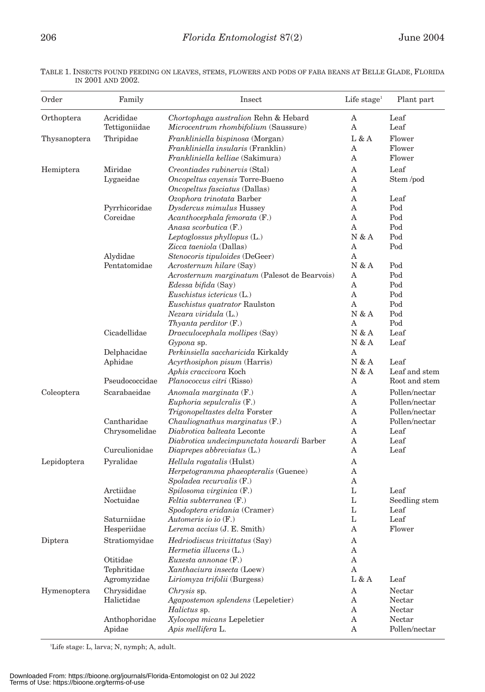|       | IN 2001 AND 2002. | TABLE 1. INSECTS FOUND FEEDING ON LEAVES. STEMS. FLOWERS AND PODS OF FABA BEANS AT BELLE GLADE. FLORIDA |                                      |  |
|-------|-------------------|---------------------------------------------------------------------------------------------------------|--------------------------------------|--|
| Order | Family            | Insect                                                                                                  | Life stage $\blacksquare$ Plant part |  |

| Order        | Family         | Insect                                                                   | Life stage <sup>1</sup> | Plant part            |
|--------------|----------------|--------------------------------------------------------------------------|-------------------------|-----------------------|
| Orthoptera   | Acrididae      | Chortophaga australion Rehn & Hebard                                     | Α                       | Leaf                  |
|              | Tettigoniidae  | Microcentrum rhombifolium (Saussure)                                     | A                       | Leaf                  |
| Thysanoptera | Thripidae      | Frankliniella bispinosa (Morgan)                                         | L & A                   | Flower                |
|              |                | Frankliniella insularis (Franklin)                                       | A                       | Flower                |
|              |                | <i>Frankliniella kelliae</i> (Sakimura)                                  | A                       | Flower                |
| Hemiptera    | Miridae        | Creontiades rubinervis (Stal)                                            | Α                       | Leaf                  |
|              | Lygaeidae      | Oncopeltus cayensis Torre-Bueno                                          | A                       | Stem/pod              |
|              |                | Oncopeltus fasciatus (Dallas)                                            | A                       |                       |
|              |                | Ozophora trinotata Barber                                                | A                       | Leaf                  |
|              | Pyrrhicoridae  | Dysdercus mimulus Hussey                                                 | A                       | Pod                   |
|              | Coreidae       | $A can those phala femorata$ (F.)                                        | A                       | Pod                   |
|              |                | Anasa scorbutica (F.)                                                    | A                       | Pod                   |
|              |                | Leptoglossus phyllopus (L.)                                              | N & A<br>A              | Pod<br>Pod            |
|              | Alydidae       | Zicca taeniola (Dallas)<br>Stenocoris tipuloides (DeGeer)                | A                       |                       |
|              | Pentatomidae   | Acrosternum hilare (Say)                                                 | N & A                   | Pod                   |
|              |                | Acrosternum marginatum (Palesot de Bearvois)                             | A                       | Pod                   |
|              |                | Edessa bifida (Say)                                                      | A                       | Pod                   |
|              |                | Euschistus ictericus (L.)                                                | A                       | Pod                   |
|              |                | Euschistus quatrator Raulston                                            | A                       | Pod                   |
|              |                | Nezara viridula (L.)                                                     | N & A                   | Pod                   |
|              |                | $Thyanta\, perditor(F.)$                                                 | A                       | Pod                   |
|              | Cicadellidae   | Draeculocephala mollipes (Say)                                           | N & A                   | Leaf                  |
|              |                | Gypona sp.                                                               | N & A                   | Leaf                  |
|              | Delphacidae    | Perkinsiella saccharicida Kirkaldy                                       | A                       |                       |
|              | Aphidae        | Acyrthosiphon pisum (Harris)                                             | N & A                   | Leaf                  |
|              |                | Aphis craccivora Koch                                                    | N & A                   | Leaf and stem         |
|              | Pseudococcidae | <i>Planococcus citri</i> (Risso)                                         | Α                       | Root and stem         |
| Coleoptera   | Scarabaeidae   | Anomala marginata (F.)                                                   | A                       | Pollen/nectar         |
|              |                | Euploria sepulcralis(F.)                                                 | A                       | Pollen/nectar         |
|              |                | Trigonopeltastes delta Forster                                           | Α                       | Pollen/nectar         |
|              | Cantharidae    | Chauliognathus marginatus (F.)                                           | A<br>A                  | Pollen/nectar<br>Leaf |
|              | Chrysomelidae  | Diabrotica balteata Leconte<br>Diabrotica undecimpunctata howardi Barber | Α                       | Leaf                  |
|              | Curculionidae  | Diaprepes abbreviatus (L.)                                               | A                       | Leaf                  |
|              |                |                                                                          | Α                       |                       |
| Lepidoptera  | Pyralidae      | <i>Hellula rogatalis</i> (Hulst)<br>Herpetogramma phaeopteralis (Guenee) | A                       |                       |
|              |                | $Spoladea$ recurvalis $(F.)$                                             | Α                       |                       |
|              | Arctiidae      | Spilosoma virginica (F.)                                                 | L                       | Leaf                  |
|              | Noctuidae      | Feltia subterranea (F.)                                                  | L                       | Seedling stem         |
|              |                | Spodoptera eridania (Cramer)                                             | L                       | Leaf                  |
|              | Saturniidae    | Automeris io io $(F.)$                                                   | L                       | Leaf                  |
|              | Hesperiidae    | Lerema accius (J. E. Smith)                                              | $\boldsymbol{\rm{A}}$   | Flower                |
| Diptera      | Stratiomyidae  | <i>Hedriodiscus trivittatus</i> (Say)                                    | Α                       |                       |
|              |                | Hermetia illucens (L.)                                                   | Α                       |                       |
|              | Otitidae       | $E$ uxesta annonae $(F)$ .                                               | Α                       |                       |
|              | Tephritidae    | Xanthaciura insecta (Loew)                                               | A                       |                       |
|              | Agromyzidae    | Liriomyza trifolii (Burgess)                                             | L & A                   | Leaf                  |
| Hymenoptera  | Chrysididae    | Chrysis sp.                                                              | Α                       | Nectar                |
|              | Halictidae     | Agapostemon splendens (Lepeletier)                                       | Α                       | Nectar                |
|              |                | <i>Halictus</i> sp.                                                      | Α                       | Nectar                |
|              | Anthophoridae  | Xylocopa micans Lepeletier                                               | Α                       | Nectar                |
|              | Apidae         | Apis mellifera L.                                                        | Α                       | Pollen/nectar         |

1 Life stage: L, larva; N, nymph; A, adult.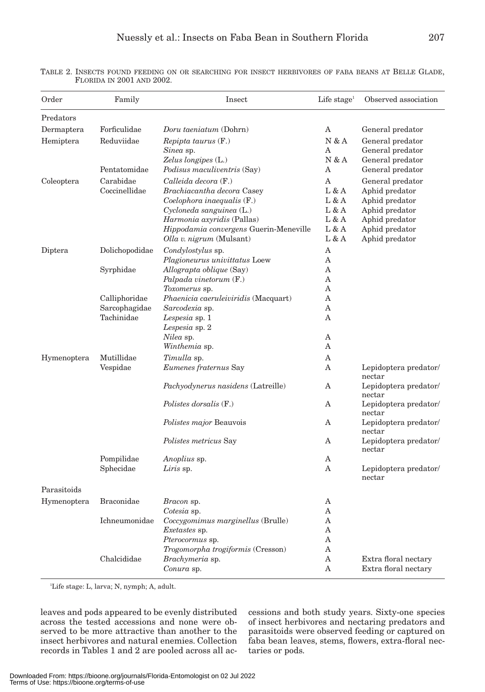| Order       | Family                         | Insect                                                        | Life stage <sup>1</sup> | Observed association            |
|-------------|--------------------------------|---------------------------------------------------------------|-------------------------|---------------------------------|
| Predators   |                                |                                                               |                         |                                 |
| Dermaptera  | Forficulidae                   | Doru taeniatum (Dohrn)                                        | Α                       | General predator                |
| Hemiptera   | Reduviidae                     | $Repi$ taurus $(F.)$                                          | N & A                   | General predator                |
|             |                                | Sinea sp.                                                     | A                       | General predator                |
|             |                                | Zelus longipes $(L)$                                          | N & A                   | General predator                |
|             | Pentatomidae                   | Podisus maculiventris (Say)                                   | A                       | General predator                |
| Coleoptera  | Carabidae                      | Calleida decora (F.)                                          | Α                       | General predator                |
|             | Coccinellidae                  | Brachiacantha decora Casey                                    | L & A                   | Aphid predator                  |
|             |                                | $Coelophora\ in a equalis$ (F.)                               | L & A                   | Aphid predator                  |
|             |                                | $Cycloneda$ sanguinea $(L)$                                   | L & A                   | Aphid predator                  |
|             |                                | Harmonia axyridis (Pallas)                                    | L & A                   | Aphid predator                  |
|             |                                | Hippodamia convergens Guerin-Meneville                        | L & A                   | Aphid predator                  |
|             |                                | Olla v. nigrum (Mulsant)                                      | L & A                   | Aphid predator                  |
| Diptera     | Dolichopodidae                 | Condylostylus sp.                                             | A                       |                                 |
|             |                                | Plagioneurus univittatus Loew                                 | A                       |                                 |
|             | Syrphidae                      | Allograpta oblique (Say)                                      | A                       |                                 |
|             |                                | Palpada vinetorum (F.)                                        | A                       |                                 |
|             |                                | <i>Toxomerus</i> sp.                                          | A<br>Α                  |                                 |
|             | Calliphoridae<br>Sarcophagidae | <i>Phaenicia caeruleiviridis</i> (Macquart)<br>Sarcodexia sp. | A                       |                                 |
|             | Tachinidae                     | Lespesia sp. 1                                                | A                       |                                 |
|             |                                | Lespesia sp. 2                                                |                         |                                 |
|             |                                | Nilea sp.                                                     | A                       |                                 |
|             |                                | Winthemia sp.                                                 | A                       |                                 |
| Hymenoptera | Mutillidae                     | Timulla sp.                                                   | A                       |                                 |
|             | Vespidae                       | Eumenes fraternus Say                                         | A                       | Lepidoptera predator/           |
|             |                                |                                                               |                         | nectar                          |
|             |                                | Pachyodynerus nasidens (Latreille)                            | A                       | Lepidoptera predator/<br>nectar |
|             |                                | Polistes dorsalis (F.)                                        | Α                       | Lepidoptera predator/           |
|             |                                |                                                               |                         | nectar                          |
|             |                                | <i>Polistes major</i> Beauvois                                | Α                       | Lepidoptera predator/<br>nectar |
|             |                                | <i>Polistes metricus</i> Say                                  | A                       | Lepidoptera predator/<br>nectar |
|             | Pompilidae                     | <i>Anoplius</i> sp.                                           | A                       |                                 |
|             | Sphecidae                      | Liris sp.                                                     | Α                       | Lepidoptera predator/<br>nectar |
| Parasitoids |                                |                                                               |                         |                                 |
| Hymenoptera | <b>Braconidae</b>              | <i>Bracon</i> sp.                                             | Α                       |                                 |
|             |                                | Cotesia sp.                                                   | A                       |                                 |
|             | Ichneumonidae                  | Coccygomimus marginellus (Brulle)                             | A                       |                                 |
|             |                                | <i>Exetastes</i> sp.                                          | A                       |                                 |
|             |                                | <i>Pterocormus</i> sp.                                        | Α                       |                                 |
|             |                                | <i>Trogomorpha trogiformis</i> (Cresson)                      | A                       |                                 |
|             | Chalcididae                    | <i>Brachymeria</i> sp.                                        | A                       | Extra floral nectary            |
|             |                                | Conura sp.                                                    | A                       | Extra floral nectary            |

TABLE 2. INSECTS FOUND FEEDING ON OR SEARCHING FOR INSECT HERBIVORES OF FABA BEANS AT BELLE GLADE, FLORIDA IN 2001 AND 2002.

1 Life stage: L, larva; N, nymph; A, adult.

leaves and pods appeared to be evenly distributed across the tested accessions and none were observed to be more attractive than another to the insect herbivores and natural enemies. Collection records in Tables 1 and 2 are pooled across all accessions and both study years. Sixty-one species of insect herbivores and nectaring predators and parasitoids were observed feeding or captured on faba bean leaves, stems, flowers, extra-floral nectaries or pods.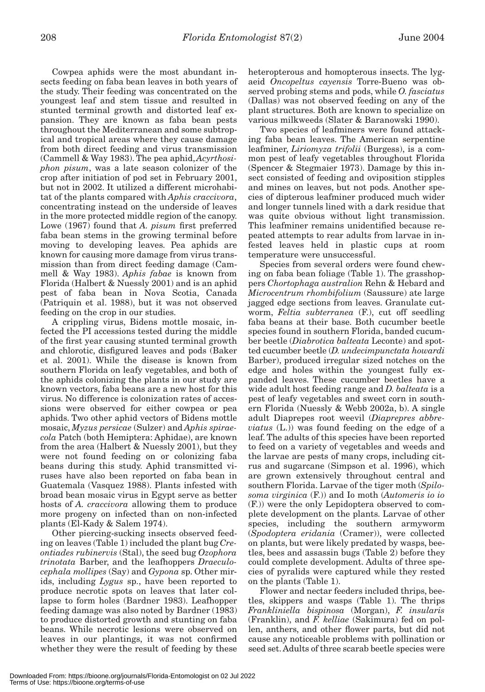Cowpea aphids were the most abundant insects feeding on faba bean leaves in both years of the study. Their feeding was concentrated on the youngest leaf and stem tissue and resulted in stunted terminal growth and distorted leaf expansion. They are known as faba bean pests throughout the Mediterranean and some subtropical and tropical areas where they cause damage from both direct feeding and virus transmission (Cammell & Way 1983). The pea aphid, *Acyrthosiphon pisum*, was a late season colonizer of the crop after initiation of pod set in February 2001, but not in 2002. It utilized a different microhabitat of the plants compared with *Aphis craccivora*, concentrating instead on the underside of leaves in the more protected middle region of the canopy. Lowe (1967) found that *A. pisum* first preferred faba bean stems in the growing terminal before moving to developing leaves. Pea aphids are known for causing more damage from virus transmission than from direct feeding damage (Cammell & Way 1983). *Aphis fabae* is known from Florida (Halbert & Nuessly 2001) and is an aphid pest of faba bean in Nova Scotia, Canada (Patriquin et al. 1988), but it was not observed feeding on the crop in our studies.

A crippling virus, Bidens mottle mosaic, infected the PI accessions tested during the middle of the first year causing stunted terminal growth and chlorotic, disfigured leaves and pods (Baker et al. 2001). While the disease is known from southern Florida on leafy vegetables, and both of the aphids colonizing the plants in our study are known vectors, faba beans are a new host for this virus. No difference is colonization rates of accessions were observed for either cowpea or pea aphids. Two other aphid vectors of Bidens mottle mosaic, *Myzus persicae* (Sulzer) and *Aphis spiraecola* Patch (both Hemiptera: Aphidae), are known from the area (Halbert & Nuessly 2001), but they were not found feeding on or colonizing faba beans during this study. Aphid transmitted viruses have also been reported on faba bean in Guatemala (Vasquez 1988). Plants infested with broad bean mosaic virus in Egypt serve as better hosts of *A. craccivora* allowing them to produce more progeny on infected than on non-infected plants (El-Kady & Salem 1974).

Other piercing-sucking insects observed feeding on leaves (Table 1) included the plant bug *Creontiades rubinervis* (Stal), the seed bug *Ozophora trinotata* Barber, and the leafhoppers *Draeculocephala mollipes* (Say) and *Gypona* sp. Other mirids, including *Lygus* sp., have been reported to produce necrotic spots on leaves that later collapse to form holes (Bardner 1983). Leafhopper feeding damage was also noted by Bardner (1983) to produce distorted growth and stunting on faba beans. While necrotic lesions were observed on leaves in our plantings, it was not confirmed whether they were the result of feeding by these heteropterous and homopterous insects. The lygaeid *Oncopeltus cayensis* Torre-Bueno was observed probing stems and pods, while *O. fasciatus* (Dallas) was not observed feeding on any of the plant structures. Both are known to specialize on various milkweeds (Slater & Baranowski 1990).

Two species of leafminers were found attacking faba bean leaves. The American serpentine leafminer, *Liriomyza trifolii* (Burgess), is a common pest of leafy vegetables throughout Florida (Spencer & Stegmaier 1973). Damage by this insect consisted of feeding and oviposition stipples and mines on leaves, but not pods. Another species of dipterous leafminer produced much wider and longer tunnels lined with a dark residue that was quite obvious without light transmission. This leafminer remains unidentified because repeated attempts to rear adults from larvae in infested leaves held in plastic cups at room temperature were unsuccessful.

Species from several orders were found chewing on faba bean foliage (Table 1). The grasshoppers *Chortophaga australion* Rehn & Hebard and *Microcentrum rhombifolium* (Saussure) ate large jagged edge sections from leaves. Granulate cutworm, *Feltia subterranea* (F.), cut off seedling faba beans at their base. Both cucumber beetle species found in southern Florida, banded cucumber beetle (*Diabrotica balteata* Leconte) and spotted cucumber beetle (*D. undecimpunctata howardi* Barber), produced irregular sized notches on the edge and holes within the youngest fully expanded leaves. These cucumber beetles have a wide adult host feeding range and *D. balteata* is a pest of leafy vegetables and sweet corn in southern Florida (Nuessly & Webb 2002a, b). A single adult Diaprepes root weevil (*Diaprepres abbreviatus* (L.)) was found feeding on the edge of a leaf. The adults of this species have been reported to feed on a variety of vegetables and weeds and the larvae are pests of many crops, including citrus and sugarcane (Simpson et al. 1996), which are grown extensively throughout central and southern Florida. Larvae of the tiger moth (*Spilosoma virginica* (F.)) and Io moth (*Automeris io io* (F.)) were the only Lepidoptera observed to complete development on the plants. Larvae of other species, including the southern armyworm (*Spodoptera eridania* (Cramer)), were collected on plants, but were likely predated by wasps, beetles, bees and assassin bugs (Table 2) before they could complete development. Adults of three species of pyralids were captured while they rested on the plants (Table 1).

Flower and nectar feeders included thrips, beetles, skippers and wasps (Table 1). The thrips *Frankliniella bispinosa* (Morgan), *F. insularis* (Franklin), and *F. kelliae* (Sakimura) fed on pollen, anthers, and other flower parts, but did not cause any noticeable problems with pollination or seed set. Adults of three scarab beetle species were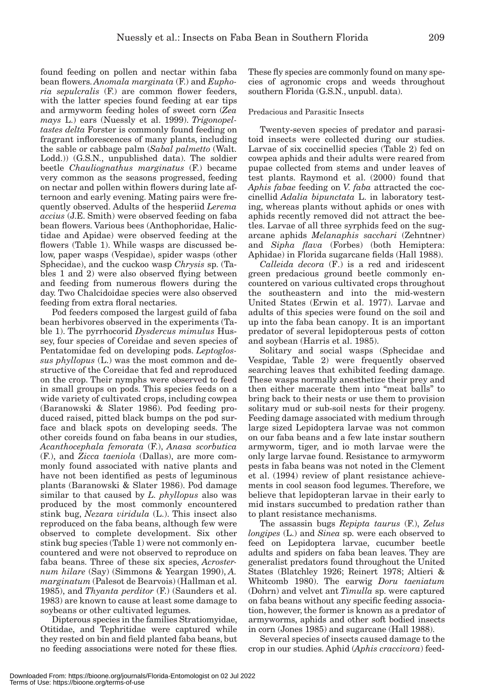found feeding on pollen and nectar within faba bean flowers. *Anomala marginata* (F.) and *Euphoria sepulcralis* (F.) are common flower feeders, with the latter species found feeding at ear tips and armyworm feeding holes of sweet corn (*Zea mays* L.) ears (Nuessly et al. 1999). *Trigonopeltastes delta* Forster is commonly found feeding on fragrant inflorescences of many plants, including the sable or cabbage palm (*Sabal palmetto* (Walt. Lodd.)) (G.S.N., unpublished data). The soldier beetle *Chauliognathus marginatus* (F.) became very common as the seasons progressed, feeding on nectar and pollen within flowers during late afternoon and early evening. Mating pairs were frequently observed. Adults of the hesperiid *Lerema accius* (J.E. Smith) were observed feeding on faba bean flowers. Various bees (Anthophoridae, Halictidae and Apidae) were observed feeding at the flowers (Table 1). While wasps are discussed below, paper wasps (Vespidae), spider wasps (other Sphecidae), and the cuckoo wasp *Chrysis* sp. (Tables 1 and 2) were also observed flying between and feeding from numerous flowers during the day. Two Chalcidoidae species were also observed feeding from extra floral nectaries.

Pod feeders composed the largest guild of faba bean herbivores observed in the experiments (Table 1). The pyrrhocorid *Dysdercus mimulus* Hussey, four species of Coreidae and seven species of Pentatomidae fed on developing pods. *Leptoglossus phyllopus* (L.) was the most common and destructive of the Coreidae that fed and reproduced on the crop. Their nymphs were observed to feed in small groups on pods. This species feeds on a wide variety of cultivated crops, including cowpea (Baranowski & Slater 1986). Pod feeding produced raised, pitted black bumps on the pod surface and black spots on developing seeds. The other coreids found on faba beans in our studies, *Acanthocephala femorata* (F.), *Anasa scorbutica* (F.), and *Zicca taeniola* (Dallas), are more commonly found associated with native plants and have not been identified as pests of leguminous plants (Baranowski & Slater 1986). Pod damage similar to that caused by *L. phyllopus* also was produced by the most commonly encountered stink bug, *Nezara viridula* (L.). This insect also reproduced on the faba beans, although few were observed to complete development. Six other stink bug species (Table 1) were not commonly encountered and were not observed to reproduce on faba beans. Three of these six species, *Acrosternum hilare* (Say) (Simmons & Yeargan 1990), *A. marginatum* (Palesot de Bearvois) (Hallman et al. 1985), and *Thyanta perditor* (F.) (Saunders et al. 1983) are known to cause at least some damage to soybeans or other cultivated legumes.

Dipterous species in the families Stratiomyidae, Otitidae, and Tephritidae were captured while they rested on bin and field planted faba beans, but no feeding associations were noted for these flies. These fly species are commonly found on many species of agronomic crops and weeds throughout southern Florida (G.S.N., unpubl. data).

## Predacious and Parasitic Insects

Twenty-seven species of predator and parasitoid insects were collected during our studies. Larvae of six coccinellid species (Table 2) fed on cowpea aphids and their adults were reared from pupae collected from stems and under leaves of test plants. Raymond et al. (2000) found that *Aphis fabae* feeding on *V. faba* attracted the coccinellid *Adalia bipunctata* L. in laboratory testing, whereas plants without aphids or ones with aphids recently removed did not attract the beetles. Larvae of all three syrphids feed on the sugarcane aphids *Melanaphis sacchari* (Zehntner) and *Sipha flava* (Forbes) (both Hemiptera: Aphidae) in Florida sugarcane fields (Hall 1988).

*Calleida decora* (F.) is a red and iridescent green predacious ground beetle commonly encountered on various cultivated crops throughout the southeastern and into the mid-western United States (Erwin et al. 1977). Larvae and adults of this species were found on the soil and up into the faba bean canopy. It is an important predator of several lepidopterous pests of cotton and soybean (Harris et al. 1985).

Solitary and social wasps (Sphecidae and Vespidae, Table 2) were frequently observed searching leaves that exhibited feeding damage. These wasps normally anesthetize their prey and then either macerate them into "meat balls" to bring back to their nests or use them to provision solitary mud or sub-soil nests for their progeny. Feeding damage associated with medium through large sized Lepidoptera larvae was not common on our faba beans and a few late instar southern armyworm, tiger, and io moth larvae were the only large larvae found. Resistance to armyworm pests in faba beans was not noted in the Clement et al. (1994) review of plant resistance achievements in cool season food legumes. Therefore, we believe that lepidopteran larvae in their early to mid instars succumbed to predation rather than to plant resistance mechanisms.

The assassin bugs *Repipta taurus* (F.), *Zelus longipes* (L.) and *Sinea* sp. were each observed to feed on Lepidoptera larvae, cucumber beetle adults and spiders on faba bean leaves. They are generalist predators found throughout the United States (Blatchley 1926; Reinert 1978; Altieri & Whitcomb 1980). The earwig *Doru taeniatum* (Dohrn) and velvet ant *Timulla* sp. were captured on faba beans without any specific feeding association, however, the former is known as a predator of armyworms, aphids and other soft bodied insects in corn (Jones 1985) and sugarcane (Hall 1988).

Several species of insects caused damage to the crop in our studies. Aphid (*Aphis craccivora*) feed-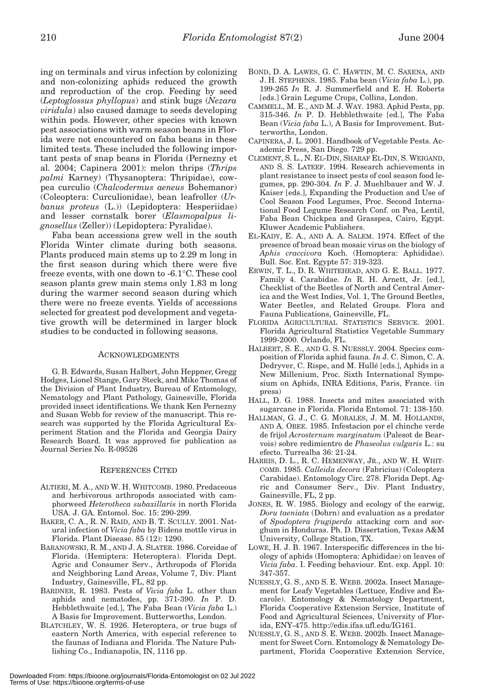ing on terminals and virus infection by colonizing and non-colonizing aphids reduced the growth and reproduction of the crop. Feeding by seed (*Leptoglossus phyllopus*) and stink bugs (*Nezara viridula*) also caused damage to seeds developing within pods. However, other species with known pest associations with warm season beans in Florida were not encountered on faba beans in these limited tests. These included the following important pests of snap beans in Florida (Pernezny et al. 2004; Capinera 2001): melon thrips (*Thrips palmi* Karney) (Thysanoptera: Thripidae), cowpea curculio (*Chalcodermus aeneus* Bohemanor) (Coleoptera: Curculionidae), bean leafroller (*Urbanus proteus* (L.)) (Lepidoptera: Hesperiidae) and lesser cornstalk borer (*Elasmopalpus lignosellus* (Zeller)) (Lepidoptera: Pyralidae).

Faba bean accessions grew well in the south Florida Winter climate during both seasons. Plants produced main stems up to 2.29 m long in the first season during which there were five freeze events, with one down to -6.1°C. These cool season plants grew main stems only 1.83 m long during the warmer second season during which there were no freeze events. Yields of accessions selected for greatest pod development and vegetative growth will be determined in larger block studies to be conducted in following seasons.

### ACKNOWLEDGMENTS

G. B. Edwards, Susan Halbert, John Heppner, Gregg Hodges, Lionel Stange, Gary Steck, and Mike Thomas of the Division of Plant Industry, Bureau of Entomology, Nematology and Plant Pathology, Gainesville, Florida provided insect identifications. We thank Ken Pernezny and Susan Webb for review of the manuscript. This research was supported by the Florida Agricultural Experiment Station and the Florida and Georgia Dairy Research Board. It was approved for publication as Journal Series No. R-09526

#### REFERENCES CITED

- ALTIERI, M. A., AND W. H. WHITCOMB. 1980. Predaceous and herbivorous arthropods associated with camphorweed *Heterotheca subaxillaris* in north Florida USA. J. GA. Entomol. Soc. 15: 290-299.
- BAKER, C. A., R. N. RAID, AND B. T. SCULLY. 2001. Natural infection of *Vicia faba* by Bidens mottle virus in Florida. Plant Disease. 85 (12): 1290.
- BARANOWSKI, R. M., AND J. A. SLATER. 1986. Coreidae of Florida. (Hemiptera: Heteroptera). Florida Dept. Agric and Consumer Serv., Arthropods of Florida and Neighboring Land Areas, Volume 7, Div. Plant Industry, Gainesville, FL, 82 pp.
- BARDNER, R. 1983. Pests of *Vicia faba* L. other than aphids and nematodes, pp. 371-390. *In* P. D. Hebblethwaite [ed.], The Faba Bean (*Vicia faba* L.) A Basis for Improvement. Butterworths, London.
- BLATCHLEY, W. S. 1926. Heteroptera, or true bugs of eastern North America, with especial reference to the faunas of Indiana and Florida. The Nature Publishing Co., Indianapolis, IN, 1116 pp.
- BOND, D. A. LAWES, G. C. HAWTIN, M. C. SAXENA, AND J. H. STEPHENS. 1985. Faba bean (*Vicia faba* L.), pp. 199-265 *In* R. J. Summerfield and E. H. Roberts [eds.] Grain Legume Crops, Collins, London.
- CAMMELL, M. E., AND M. J. WAY. 1983. Aphid Pests, pp. 315-346. *In* P. D. Hebblethwaite [ed.], The Faba Bean (*Vicia faba* L.), A Basis for Improvement. Butterworths, London.
- CAPINERA, J. L. 2001. Handbook of Vegetable Pests. Academic Press, San Diego. 729 pp.
- CLEMENT, S. L., N. EL-DIN, SHARAF EL-DIN, S. WEIGAND, AND S. S. LATEEF. 1994. Research achievements in plant resistance to insect pests of cool season food legumes, pp. 290-304. *In* F. J. Muehlbauer and W. J. Kaiser [eds.], Expanding the Production and Use of Cool Season Food Legumes, Proc. Second International Food Legume Research Conf. on Pea, Lentil, Faba Bean Chickpea and Grasspea, Cairo, Egypt. Kluwer Academic Publishers.
- EL-KADY, E. A., AND A. A. SALEM. 1974. Effect of the presence of broad bean mosaic virus on the biology of *Aphis craccivora* Koch. (Homoptera: Aphididae). Bull. Soc. Ent. Egypte 57: 319-323.
- ERWIN, T. L., D. R. WHITEHEAD, AND G. E. BALL. 1977. Family 4. Carabidae. *In* R. H. Arnett, Jr. [ed.], Checklist of the Beetles of North and Central America and the West Indies, Vol. 1, The Ground Beetles, Water Beetles, and Related Groups. Flora and Fauna Publications, Gainesville, FL.
- FLORIDA AGRICULTURAL STATISTICS SERVICE. 2001. Florida Agricultural Statistics Vegetable Summary 1999-2000. Orlando, FL.
- HALBERT, S. E., AND G. S. NUESSLY. 2004. Species composition of Florida aphid fauna. *In* J. C. Simon, C. A. Dedryver, C. Rispe, and M. Hullé [eds.], Aphids in a New Millenium, Proc. Sixth International Symposium on Aphids, INRA Editions, Paris, France. (in press)
- HALL, D. G. 1988. Insects and mites associated with sugarcane in Florida. Florida Entomol. 71: 138-150.
- HALLMAN, G. J., C. G. MORALES, J. M. M. HOLLANDS, AND A. OREE. 1985. Infestacion por el chinche verde de frijol *Acrosternum marginatum* (Palesot de Bearvois) sobre redimientro de *Phaseolus vulgaris* L.: su efecto. Turrealba 36: 21-24.
- HARRIS, D. L., R. C. HEMENWAY, JR., AND W. H. WHIT-COMB. 1985. *Calleida decora* (Fabricius) (Coleoptera Carabidae). Entomology Circ. 278. Florida Dept. Agric and Consumer Serv., Div. Plant Industry, Gainesville, FL, 2 pp.
- JONES, R. W. 1985. Biology and ecology of the earwig, *Doru taeniata* (Dohrn) and evaluation as a predator of *Spodoptera frugiperda* attacking corn and sorghum in Honduras. Ph. D. Dissertation, Texas A&M University, College Station, TX.
- LOWE, H. J. B. 1967. Interspecific differences in the biology of aphids (Homoptera: Aphididae) on leaves of *Vicia faba*. I. Feeding behaviour. Ent. exp. Appl. 10: 347-357.
- NUESSLY, G. S., AND S. E. WEBB. 2002a. Insect Management for Leafy Vegetables (Lettuce, Endive and Escarole). Entomology & Nematology Department, Florida Cooperative Extension Service, Institute of Food and Agricultural Sciences, University of Florida, ENY-475. http://edis.ifas.ufl.edu/IG161.
- NUESSLY, G. S., AND S. E. WEBB. 2002b. Insect Management for Sweet Corn. Entomology & Nematology Department, Florida Cooperative Extension Service,